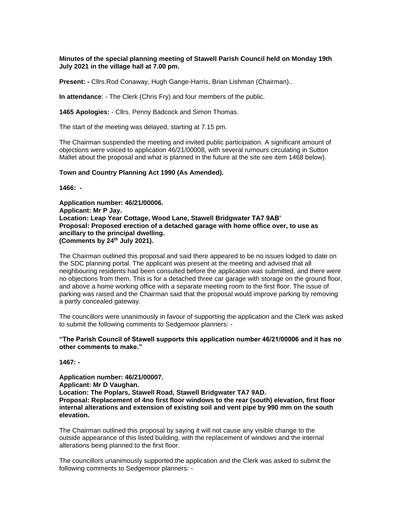## **Minutes of the special planning meeting of Stawell Parish Council held on Monday 19th July 2021 in the village hall at 7.00 pm.**

**Present: -** Cllrs.Rod Conaway, Hugh Gange-Harris, Brian Lishman (Chairman)..

**In attendance**: - The Clerk (Chris Fry) and four members of the public.

**1465 Apologies:** - Cllrs. Penny Badcock and Simon Thomas.

The start of the meeting was delayed, starting at 7.15 pm.

The Chairman suspended the meeting and invited public participation. A significant amount of objections were voiced to application 46/21/00008, with several rumours circulating in Sutton Mallet about the proposal and what is planned in the future at the site see item 1468 below).

#### **Town and Country Planning Act 1990 (As Amended).**

**1466: -**

**Application number: 46/21/00006. Applicant: Mr P Jay. Location: Leap Year Cottage, Wood Lane, Stawell Bridgwater TA7 9AB' Proposal: Proposed erection of a detached garage with home office over, to use as ancillary to the principal dwelling. (Comments by 24th July 2021).**

The Chairman outlined this proposal and said there appeared to be no issues lodged to date on the SDC planning portal. The applicant was present at the meeting and advised that all neighbouring residents had been consulted before the application was submitted, and there were no objections from them. This is for a detached three car garage with storage on the ground floor, and above a home working office with a separate meeting room to the first floor. The issue of parking was raised and the Chairman said that the proposal would improve parking by removing a partly concealed gateway.

The councillors were unanimously in favour of supporting the application and the Clerk was asked to submit the following comments to Sedgemoor planners: -

#### **"The Parish Council of Stawell supports this application number 46/21/00006 and it has no other comments to make."**

**1467: -**

**Application number: 46/21/00007. Applicant: Mr D Vaughan. Location: The Poplars, Stawell Road, Stawell Bridgwater TA7 9AD. Proposal: Replacement of 4no first floor windows to the rear (south) elevation, first floor internal alterations and extension of existing soil and vent pipe by 990 mm on the south elevation.**

The Chairman outlined this proposal by saying it will not cause any visible change to the outside appearance of this listed building, with the replacement of windows and the internal alterations being planned to the first floor.

The councillors unanimously supported the application and the Clerk was asked to submit the following comments to Sedgemoor planners: -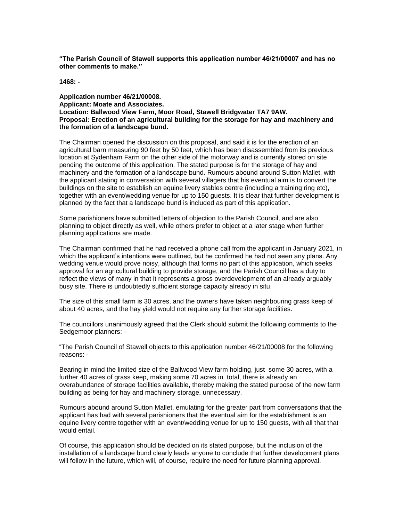**"The Parish Council of Stawell supports this application number 46/21/00007 and has no other comments to make."**

**1468: -**

**Application number 46/21/00008. Applicant: Moate and Associates. Location: Ballwood View Farm, Moor Road, Stawell Bridgwater TA7 9AW. Proposal: Erection of an agricultural building for the storage for hay and machinery and the formation of a landscape bund.**

The Chairman opened the discussion on this proposal, and said it is for the erection of an agricultural barn measuring 90 feet by 50 feet, which has been disassembled from its previous location at Sydenham Farm on the other side of the motorway and is currently stored on site pending the outcome of this application. The stated purpose is for the storage of hay and machinery and the formation of a landscape bund. Rumours abound around Sutton Mallet, with the applicant stating in conversation with several villagers that his eventual aim is to convert the buildings on the site to establish an equine livery stables centre (including a training ring etc), together with an event/wedding venue for up to 150 guests. It is clear that further development is planned by the fact that a landscape bund is included as part of this application.

Some parishioners have submitted letters of objection to the Parish Council, and are also planning to object directly as well, while others prefer to object at a later stage when further planning applications are made.

The Chairman confirmed that he had received a phone call from the applicant in January 2021, in which the applicant's intentions were outlined, but he confirmed he had not seen any plans. Any wedding venue would prove noisy, although that forms no part of this application, which seeks approval for an agricultural building to provide storage, and the Parish Council has a duty to reflect the views of many in that it represents a gross overdevelopment of an already arguably busy site. There is undoubtedly sufficient storage capacity already in situ.

The size of this small farm is 30 acres, and the owners have taken neighbouring grass keep of about 40 acres, and the hay yield would not require any further storage facilities.

The councillors unanimously agreed that the Clerk should submit the following comments to the Sedgemoor planners: -

"The Parish Council of Stawell objects to this application number 46/21/00008 for the following reasons: -

Bearing in mind the limited size of the Ballwood View farm holding, just some 30 acres, with a further 40 acres of grass keep, making some 70 acres in total, there is already an overabundance of storage facilities available, thereby making the stated purpose of the new farm building as being for hay and machinery storage, unnecessary.

Rumours abound around Sutton Mallet, emulating for the greater part from conversations that the applicant has had with several parishioners that the eventual aim for the establishment is an equine livery centre together with an event/wedding venue for up to 150 guests, with all that that would entail.

Of course, this application should be decided on its stated purpose, but the inclusion of the installation of a landscape bund clearly leads anyone to conclude that further development plans will follow in the future, which will, of course, require the need for future planning approval.